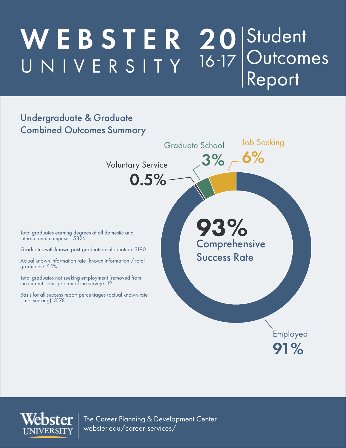### W E B S T E R UNIVERSITY 20 Student Outcomes Report 16 17

## Undergraduate & Graduate Combined Outcomes Summary





The Career Planning & Development Center webster.edu/career-services/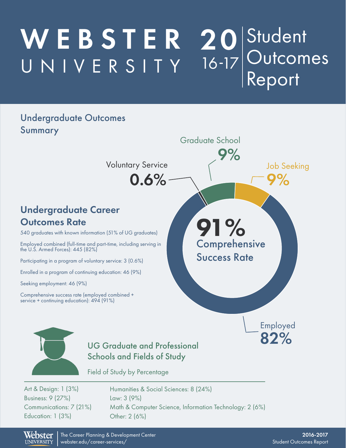#### W E B S T E R UNIVERSITY Student Outcomes Report 20 16 17

## Undergraduate Outcomes Summary



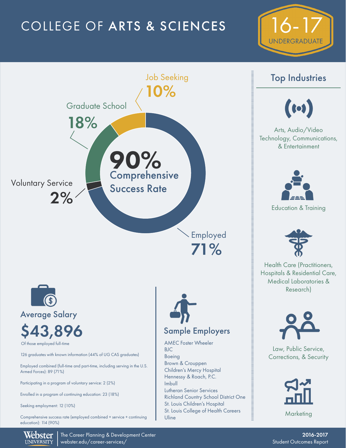# COLLEGE OF ARTS & SCIENCES





#### Top Industries



#### Arts, Audio/Video Technology, Communications, & Entertainment





Health Care (Practitioners, Hospitals & Residential Care, Medical Laboratories & Research)



Law, Public Service, Corrections, & Security

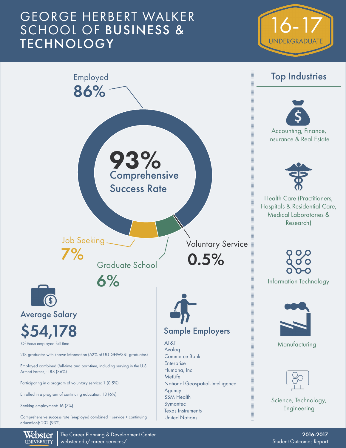## GEORGE HERBERT WALKER SCHOOL OF BUSINESS & **TECHNOLOGY**





2016-2017 Student Outcomes Report

The Career Planning & Development Center webster.edu/career-services/

**UNIVERSITY**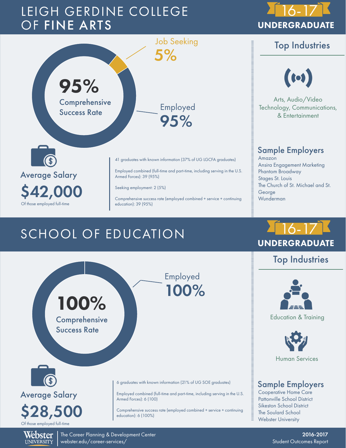## LEIGH GERDINE COLLEGE OF FINE ARTS

Comprehensive Success Rate

95%

Average Salary

\$42,000

Of those employed full-time



95%

41 graduates with known information (37% of UG LGCFA graduates)

Armed Forces): 39 (95%)

education): 39 (95%)

Seeking employment: 2 (5%)

Employed combined (full-time and part-time, including serving in the U.S.

Comprehensive success rate (employed combined + service + continuing

Employed

Arts, Audio/Video Technology, Communications, & Entertainment

#### Sample Employers

Amazon Ansira Engagement Marketing Phantom Broadway Stages St. Louis The Church of St. Michael and St. George **Wunderman** 

# SCHOOL OF EDUCATION



# UNDERGRADUATE

Top Industries



Education & Training



## Sample Employers

Cooperative Home Care Pattonville School District Sikeston School District The Soulard School Webster University

Webster UNIVERSITY

The Career Planning & Development Center webster.edu/career-services/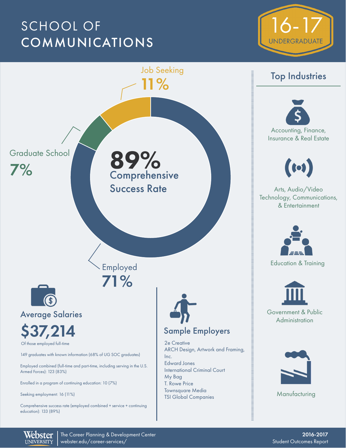# SCHOOL OF **COMMUNICATIONS**





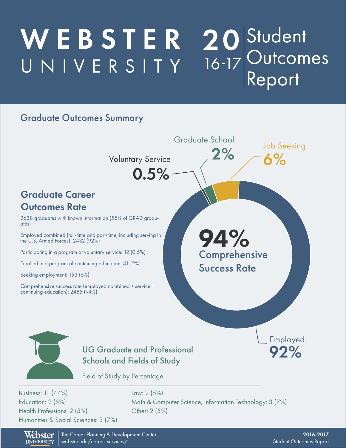#### W E B S T E R UNIVERSITY Student Outcomes Report 20 16 - 17

## Graduate Outcomes Summary



Webster **UNIVERSITY** 

The Career Planning & Development Center webster.edu/career-services/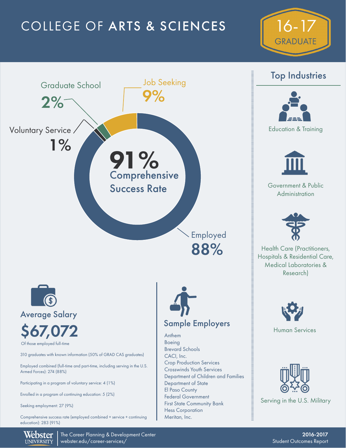# COLLEGE OF ARTS & SCIENCES





#### Top Industries





Government & Public **Administration** 



Health Care (Practitioners, Hospitals & Residential Care, Medical Laboratories & Research)





Serving in the U.S. Military

E<br>E

Webster The Career Planning & Development Center **UNIVERSITY** 

webster.edu/career-services/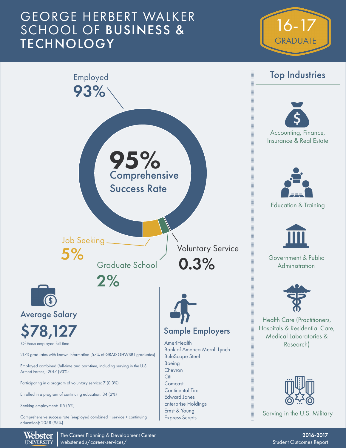## GEORGE HERBERT WALKER SCHOOL OF BUSINESS & **TECHNOLOGY**





Webster **UNIVERSITY** 

The Career Planning & Development Center webster.edu/career-services/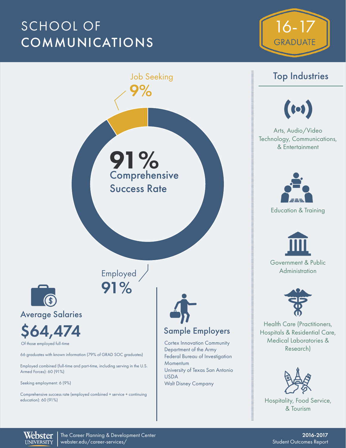# SCHOOL OF **COMMUNICATIONS**





Top Industries



Arts, Audio/Video Technology, Communications, & Entertainment





Government & Public Administration



Health Care (Practitioners, Hospitals & Residential Care, Medical Laboratories & Research)



Hospitality, Food Service, & Tourism

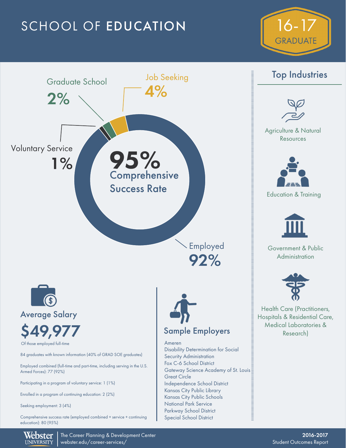# SCHOOL OF EDUCATION





Comprehensive success rate (employed combined + service + continuing education): 80 (95%)



Agriculture & Natural Resources



Education & Training



Government & Public **Administration** 



Health Care (Practitioners, Hospitals & Residential Care, Medical Laboratories & Research)

Disability Determination for Social Gateway Science Academy of St. Louis Independence School District Kansas City Public Library Kansas City Public Schools Parkway School District Special School District

The Career Planning & Development Center webster.edu/career-services/